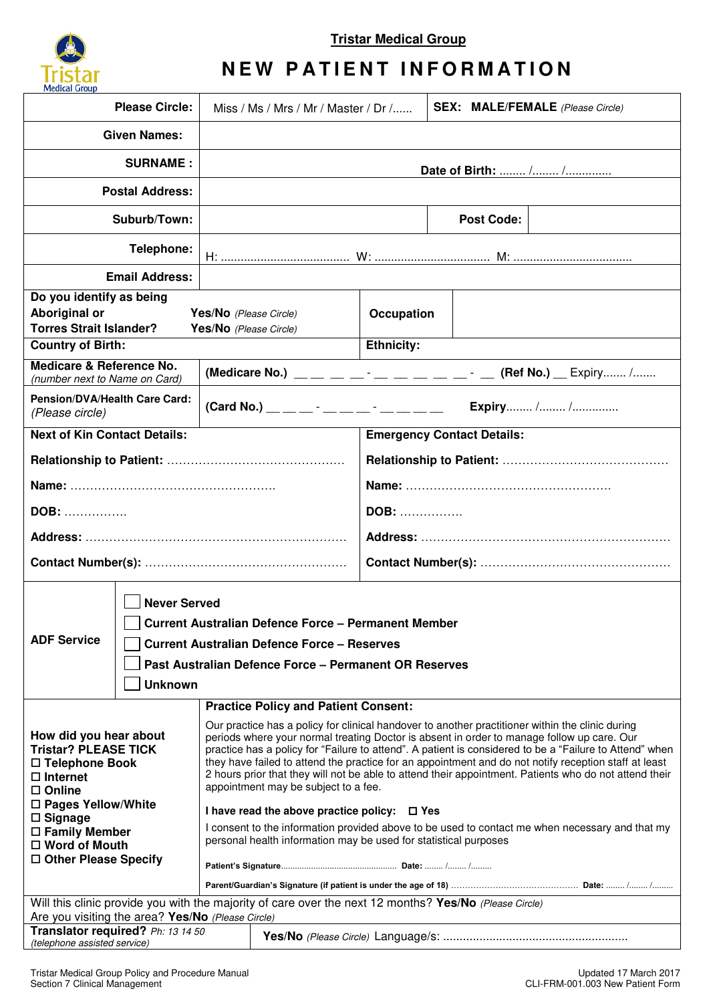

**Tristar Medical Group** 

## **NEW PATIENT INFORMATION**

| <b>Please Circle:</b>                                                                                                                                                                                                                    |  | Miss / Ms / Mrs / Mr / Master / Dr $/$                                                                                                                                                                                                                                                                                                                                                                                                                                                                                                                                                                               |                   | <b>SEX: MALE/FEMALE</b> (Please Circle) |  |
|------------------------------------------------------------------------------------------------------------------------------------------------------------------------------------------------------------------------------------------|--|----------------------------------------------------------------------------------------------------------------------------------------------------------------------------------------------------------------------------------------------------------------------------------------------------------------------------------------------------------------------------------------------------------------------------------------------------------------------------------------------------------------------------------------------------------------------------------------------------------------------|-------------------|-----------------------------------------|--|
| <b>Given Names:</b>                                                                                                                                                                                                                      |  |                                                                                                                                                                                                                                                                                                                                                                                                                                                                                                                                                                                                                      |                   |                                         |  |
| <b>SURNAME:</b>                                                                                                                                                                                                                          |  | Date of Birth:  / /                                                                                                                                                                                                                                                                                                                                                                                                                                                                                                                                                                                                  |                   |                                         |  |
| <b>Postal Address:</b>                                                                                                                                                                                                                   |  |                                                                                                                                                                                                                                                                                                                                                                                                                                                                                                                                                                                                                      |                   |                                         |  |
| Suburb/Town:                                                                                                                                                                                                                             |  |                                                                                                                                                                                                                                                                                                                                                                                                                                                                                                                                                                                                                      |                   | <b>Post Code:</b>                       |  |
| Telephone:                                                                                                                                                                                                                               |  |                                                                                                                                                                                                                                                                                                                                                                                                                                                                                                                                                                                                                      |                   |                                         |  |
| <b>Email Address:</b>                                                                                                                                                                                                                    |  |                                                                                                                                                                                                                                                                                                                                                                                                                                                                                                                                                                                                                      |                   |                                         |  |
| Do you identify as being<br>Aboriginal or<br><b>Torres Strait Islander?</b>                                                                                                                                                              |  | Yes/No (Please Circle)<br>Yes/No (Please Circle)                                                                                                                                                                                                                                                                                                                                                                                                                                                                                                                                                                     | Occupation        |                                         |  |
| <b>Country of Birth:</b>                                                                                                                                                                                                                 |  |                                                                                                                                                                                                                                                                                                                                                                                                                                                                                                                                                                                                                      | <b>Ethnicity:</b> |                                         |  |
| Medicare & Reference No.<br>(number next to Name on Card)                                                                                                                                                                                |  |                                                                                                                                                                                                                                                                                                                                                                                                                                                                                                                                                                                                                      |                   |                                         |  |
| Pension/DVA/Health Care Card:<br>(Please circle)                                                                                                                                                                                         |  |                                                                                                                                                                                                                                                                                                                                                                                                                                                                                                                                                                                                                      |                   | Expiry / /                              |  |
| <b>Next of Kin Contact Details:</b>                                                                                                                                                                                                      |  | <b>Emergency Contact Details:</b>                                                                                                                                                                                                                                                                                                                                                                                                                                                                                                                                                                                    |                   |                                         |  |
|                                                                                                                                                                                                                                          |  |                                                                                                                                                                                                                                                                                                                                                                                                                                                                                                                                                                                                                      |                   |                                         |  |
|                                                                                                                                                                                                                                          |  |                                                                                                                                                                                                                                                                                                                                                                                                                                                                                                                                                                                                                      |                   |                                         |  |
| DOB:                                                                                                                                                                                                                                     |  |                                                                                                                                                                                                                                                                                                                                                                                                                                                                                                                                                                                                                      | <b>DOB:</b>       |                                         |  |
|                                                                                                                                                                                                                                          |  |                                                                                                                                                                                                                                                                                                                                                                                                                                                                                                                                                                                                                      |                   |                                         |  |
|                                                                                                                                                                                                                                          |  |                                                                                                                                                                                                                                                                                                                                                                                                                                                                                                                                                                                                                      |                   |                                         |  |
| <b>Never Served</b><br><b>Current Australian Defence Force - Permanent Member</b><br><b>ADF Service</b><br><b>Current Australian Defence Force - Reserves</b><br>Past Australian Defence Force - Permanent OR Reserves<br><b>Unknown</b> |  |                                                                                                                                                                                                                                                                                                                                                                                                                                                                                                                                                                                                                      |                   |                                         |  |
|                                                                                                                                                                                                                                          |  | <b>Practice Policy and Patient Consent:</b>                                                                                                                                                                                                                                                                                                                                                                                                                                                                                                                                                                          |                   |                                         |  |
| How did you hear about<br><b>Tristar? PLEASE TICK</b><br>□ Telephone Book<br>$\Box$ Internet<br>$\Box$ Online<br>□ Pages Yellow/White                                                                                                    |  | Our practice has a policy for clinical handover to another practitioner within the clinic during<br>periods where your normal treating Doctor is absent in order to manage follow up care. Our<br>practice has a policy for "Failure to attend". A patient is considered to be a "Failure to Attend" when<br>they have failed to attend the practice for an appointment and do not notify reception staff at least<br>2 hours prior that they will not be able to attend their appointment. Patients who do not attend their<br>appointment may be subject to a fee.<br>I have read the above practice policy: □ Yes |                   |                                         |  |
| $\Box$ Signage<br>$\Box$ Family Member<br>$\Box$ Word of Mouth<br>□ Other Please Specify                                                                                                                                                 |  | I consent to the information provided above to be used to contact me when necessary and that my<br>personal health information may be used for statistical purposes                                                                                                                                                                                                                                                                                                                                                                                                                                                  |                   |                                         |  |
|                                                                                                                                                                                                                                          |  |                                                                                                                                                                                                                                                                                                                                                                                                                                                                                                                                                                                                                      |                   |                                         |  |
| Will this clinic provide you with the majority of care over the next 12 months? Yes/No (Please Circle)                                                                                                                                   |  |                                                                                                                                                                                                                                                                                                                                                                                                                                                                                                                                                                                                                      |                   |                                         |  |
| Are you visiting the area? Yes/No (Please Circle)                                                                                                                                                                                        |  |                                                                                                                                                                                                                                                                                                                                                                                                                                                                                                                                                                                                                      |                   |                                         |  |
| Translator required? Ph: 13 14 50<br>(telephone assisted service)                                                                                                                                                                        |  |                                                                                                                                                                                                                                                                                                                                                                                                                                                                                                                                                                                                                      |                   |                                         |  |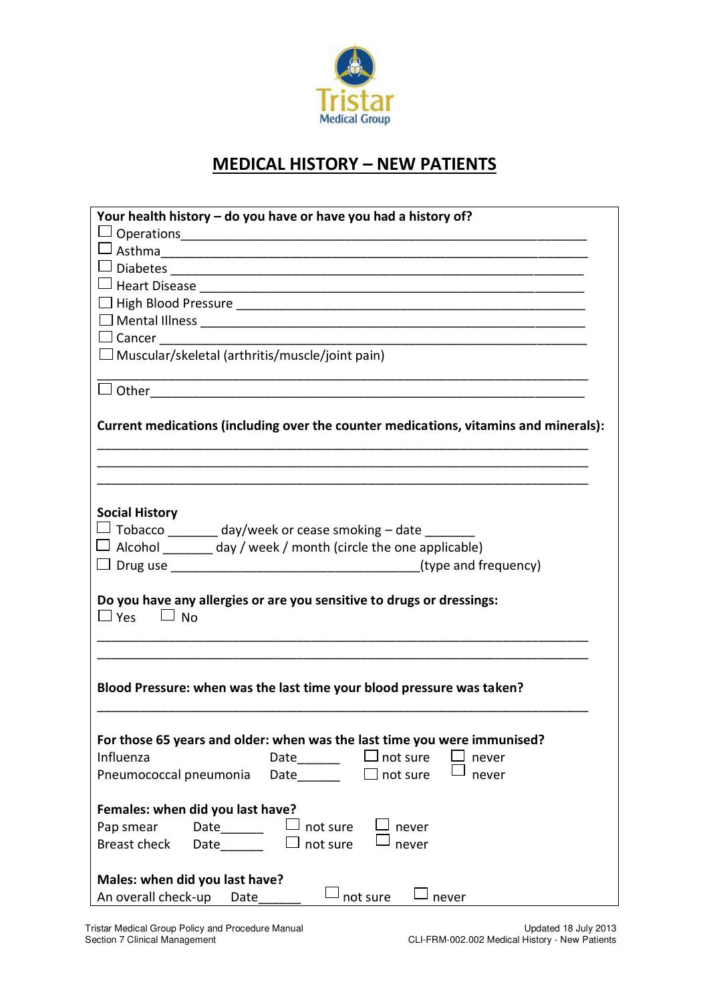

## **MEDICAL HISTORY – NEW PATIENTS**

| Your health history – do you have or have you had a history of?                                                                                                 |  |  |  |  |
|-----------------------------------------------------------------------------------------------------------------------------------------------------------------|--|--|--|--|
|                                                                                                                                                                 |  |  |  |  |
|                                                                                                                                                                 |  |  |  |  |
| $\Box$ Diabetes                                                                                                                                                 |  |  |  |  |
|                                                                                                                                                                 |  |  |  |  |
|                                                                                                                                                                 |  |  |  |  |
|                                                                                                                                                                 |  |  |  |  |
| $\Box$ Cancer $\Box$                                                                                                                                            |  |  |  |  |
| $\Box$ Muscular/skeletal (arthritis/muscle/joint pain)                                                                                                          |  |  |  |  |
|                                                                                                                                                                 |  |  |  |  |
| Current medications (including over the counter medications, vitamins and minerals):                                                                            |  |  |  |  |
|                                                                                                                                                                 |  |  |  |  |
| <b>Social History</b><br>$\Box$ Tobacco _______ day/week or cease smoking – date _____<br>$\Box$ Alcohol _______ day / week / month (circle the one applicable) |  |  |  |  |
|                                                                                                                                                                 |  |  |  |  |
| Do you have any allergies or are you sensitive to drugs or dressings:<br>$\Box$ Yes $\Box$ No                                                                   |  |  |  |  |
|                                                                                                                                                                 |  |  |  |  |
| Blood Pressure: when was the last time your blood pressure was taken?                                                                                           |  |  |  |  |
| For those 65 years and older: when was the last time you were immunised?                                                                                        |  |  |  |  |
| Date_______<br>$\Box$ not sure<br>Influenza<br>never                                                                                                            |  |  |  |  |
| $\Box$ not sure<br>Pneumococcal pneumonia<br>Date<br>never                                                                                                      |  |  |  |  |
| Females: when did you last have?                                                                                                                                |  |  |  |  |
| Pap smear<br>Date<br>$\Box$ not sure<br>never                                                                                                                   |  |  |  |  |
| Breast check<br>$\Box$ not sure<br><b>Date</b><br>never                                                                                                         |  |  |  |  |
|                                                                                                                                                                 |  |  |  |  |
| Males: when did you last have?                                                                                                                                  |  |  |  |  |